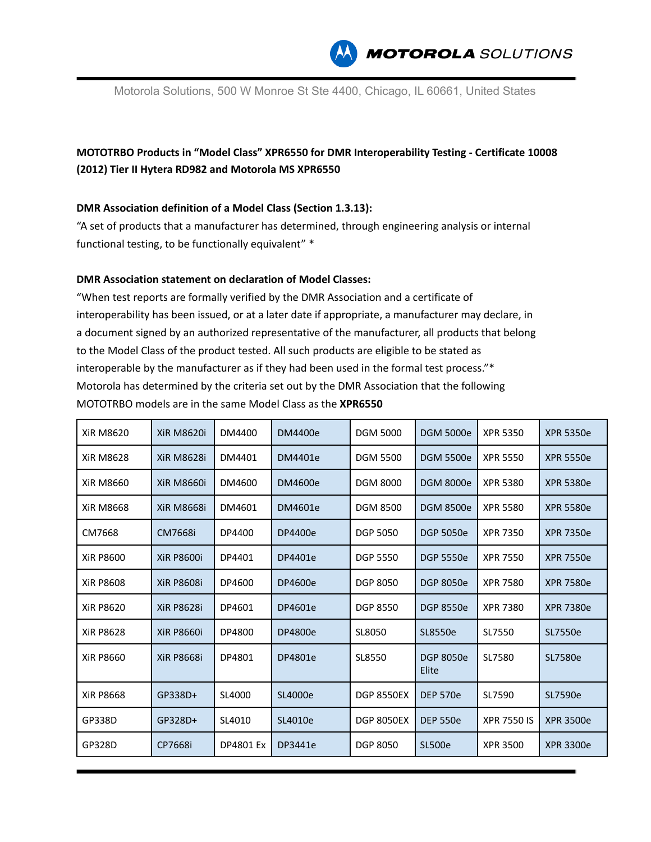

Motorola Solutions, 500 W Monroe St Ste 4400, Chicago, IL 60661, United States

## **MOTOTRBO Products in "Model Class" XPR6550 for DMR Interoperability Testing - Certificate 10008 (2012) Tier II Hytera RD982 and Motorola MS XPR6550**

## **DMR Association definition of a Model Class (Section 1.3.13):**

"A set of products that a manufacturer has determined, through engineering analysis or internal functional testing, to be functionally equivalent" \*

## **DMR Association statement on declaration of Model Classes:**

"When test reports are formally verified by the DMR Association and a certificate of interoperability has been issued, or at a later date if appropriate, a manufacturer may declare, in a document signed by an authorized representative of the manufacturer, all products that belong to the Model Class of the product tested. All such products are eligible to be stated as interoperable by the manufacturer as if they had been used in the formal test process."\* Motorola has determined by the criteria set out by the DMR Association that the following MOTOTRBO models are in the same Model Class as the **XPR6550**

| <b>XiR M8620</b> | <b>XiR M8620i</b> | DM4400    | DM4400e | <b>DGM 5000</b>   | <b>DGM 5000e</b>          | <b>XPR 5350</b>    | <b>XPR 5350e</b> |
|------------------|-------------------|-----------|---------|-------------------|---------------------------|--------------------|------------------|
| <b>XiR M8628</b> | <b>XiR M8628i</b> | DM4401    | DM4401e | <b>DGM 5500</b>   | <b>DGM 5500e</b>          | <b>XPR 5550</b>    | <b>XPR 5550e</b> |
| XiR M8660        | <b>XiR M8660i</b> | DM4600    | DM4600e | <b>DGM 8000</b>   | <b>DGM 8000e</b>          | XPR 5380           | <b>XPR 5380e</b> |
| <b>XiR M8668</b> | <b>XiR M8668i</b> | DM4601    | DM4601e | <b>DGM 8500</b>   | <b>DGM 8500e</b>          | <b>XPR 5580</b>    | <b>XPR 5580e</b> |
| CM7668           | CM7668i           | DP4400    | DP4400e | <b>DGP 5050</b>   | <b>DGP 5050e</b>          | <b>XPR 7350</b>    | <b>XPR 7350e</b> |
| XiR P8600        | <b>XiR P8600i</b> | DP4401    | DP4401e | <b>DGP 5550</b>   | <b>DGP 5550e</b>          | <b>XPR 7550</b>    | <b>XPR 7550e</b> |
| <b>XiR P8608</b> | <b>XiR P8608i</b> | DP4600    | DP4600e | <b>DGP 8050</b>   | <b>DGP 8050e</b>          | <b>XPR 7580</b>    | <b>XPR 7580e</b> |
| <b>XiR P8620</b> | <b>XiR P8628i</b> | DP4601    | DP4601e | <b>DGP 8550</b>   | <b>DGP 8550e</b>          | XPR 7380           | <b>XPR 7380e</b> |
| <b>XiR P8628</b> | <b>XiR P8660i</b> | DP4800    | DP4800e | SL8050            | SL8550e                   | SL7550             | SL7550e          |
| XiR P8660        | <b>XiR P8668i</b> | DP4801    | DP4801e | SL8550            | <b>DGP 8050e</b><br>Elite | SL7580             | SL7580e          |
| <b>XiR P8668</b> | GP338D+           | SL4000    | SL4000e | <b>DGP 8550EX</b> | <b>DEP 570e</b>           | SL7590             | SL7590e          |
| GP338D           | GP328D+           | SL4010    | SL4010e | <b>DGP 8050EX</b> | <b>DEP 550e</b>           | <b>XPR 7550 IS</b> | <b>XPR 3500e</b> |
| GP328D           | CP7668i           | DP4801 Ex | DP3441e | <b>DGP 8050</b>   | <b>SL500e</b>             | <b>XPR 3500</b>    | <b>XPR 3300e</b> |